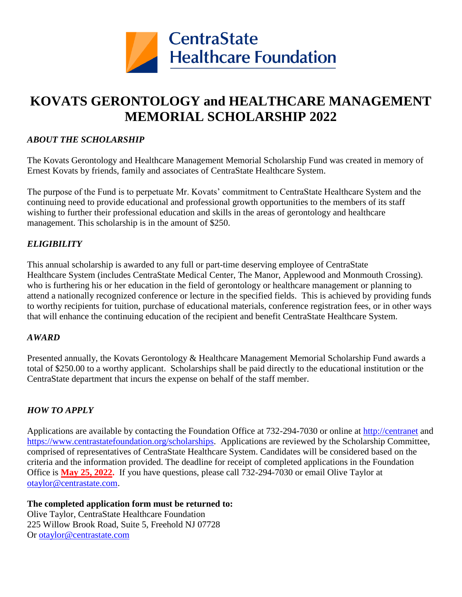

### **KOVATS GERONTOLOGY and HEALTHCARE MANAGEMENT MEMORIAL SCHOLARSHIP 2022**

#### *ABOUT THE SCHOLARSHIP*

The Kovats Gerontology and Healthcare Management Memorial Scholarship Fund was created in memory of Ernest Kovats by friends, family and associates of CentraState Healthcare System.

The purpose of the Fund is to perpetuate Mr. Kovats' commitment to CentraState Healthcare System and the continuing need to provide educational and professional growth opportunities to the members of its staff wishing to further their professional education and skills in the areas of gerontology and healthcare management. This scholarship is in the amount of \$250.

#### *ELIGIBILITY*

This annual scholarship is awarded to any full or part-time deserving employee of CentraState Healthcare System (includes CentraState Medical Center, The Manor, Applewood and Monmouth Crossing). who is furthering his or her education in the field of gerontology or healthcare management or planning to attend a nationally recognized conference or lecture in the specified fields. This is achieved by providing funds to worthy recipients for tuition, purchase of educational materials, conference registration fees, or in other ways that will enhance the continuing education of the recipient and benefit CentraState Healthcare System.

#### *AWARD*

Presented annually, the Kovats Gerontology & Healthcare Management Memorial Scholarship Fund awards a total of \$250.00 to a worthy applicant. Scholarships shall be paid directly to the educational institution or the CentraState department that incurs the expense on behalf of the staff member.

#### *HOW TO APPLY*

Applications are available by contacting the Foundation Office at 732-294-7030 or online at [http://centranet](http://centranet/) and [https://www.centrastatefoundation.org/scholarships.](https://www.centrastatefoundation.org/scholarships) Applications are reviewed by the Scholarship Committee, comprised of representatives of CentraState Healthcare System. Candidates will be considered based on the criteria and the information provided. The deadline for receipt of completed applications in the Foundation Office is **May 25, 2022.** If you have questions, please call 732-294-7030 or email Olive Taylor at [otaylor@centrastate.com.](mailto:otaylor@centrastate.com)

**The completed application form must be returned to:**  Olive Taylor, CentraState Healthcare Foundation 225 Willow Brook Road, Suite 5, Freehold NJ 07728 Or [otaylor@centrastate.com](mailto:otaylor@centrastate.com)